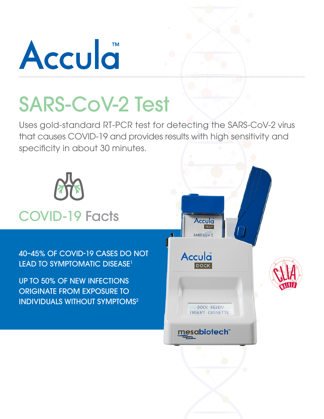

# SARS-CoV-2 Test

Uses gold-standard RT-PCR test for detecting the SARS-CoV-2 virus that causes COVID-19 and provides results with high sensitivity and specificity in about 30 minutes.